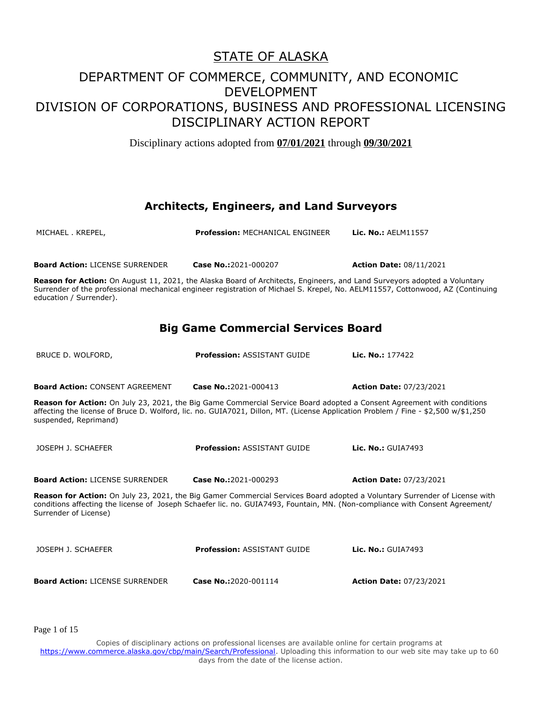Disciplinary actions adopted from **07/01/2021** through **09/30/2021**

#### **Architects, Engineers, and Land Surveyors**

MICHAEL . KREPEL, **Profession:** MECHANICAL ENGINEER **Lic. No.:** AELM11557 **Board Action:** LICENSE SURRENDER **Case No.:**2021-000207 **Action Date:** 08/11/2021 **Reason for Action:** On August 11, 2021, the Alaska Board of Architects, Engineers, and Land Surveyors adopted a Voluntary Surrender of the professional mechanical engineer registration of Michael S. Krepel, No. AELM11557, Cottonwood, AZ (Continuing education / Surrender). **Big Game Commercial Services Board** BRUCE D. WOLFORD, **Profession:** ASSISTANT GUIDE **Lic. No.:** 177422 **Board Action:** CONSENT AGREEMENT **Case No.:**2021-000413 **Action Date:** 07/23/2021 **Reason for Action:** On July 23, 2021, the Big Game Commercial Service Board adopted a Consent Agreement with conditions affecting the license of Bruce D. Wolford, lic. no. GUIA7021, Dillon, MT. (License Application Problem / Fine - \$2,500 w/\$1,250 suspended, Reprimand) JOSEPH J. SCHAEFER **Profession:** ASSISTANT GUIDE **Lic. No.:** GUIA7493 **Board Action:** LICENSE SURRENDER **Case No.:**2021-000293 **Action Date:** 07/23/2021 **Reason for Action:** On July 23, 2021, the Big Gamer Commercial Services Board adopted a Voluntary Surrender of License with conditions affecting the license of Joseph Schaefer lic. no. GUIA7493, Fountain, MN. (Non-compliance with Consent Agreement/ Surrender of License) JOSEPH J. SCHAEFER **Profession:** ASSISTANT GUIDE **Lic. No.:** GUIA7493 **Board Action:** LICENSE SURRENDER **Case No.:**2020-001114 **Action Date:** 07/23/2021

Page 1 of 15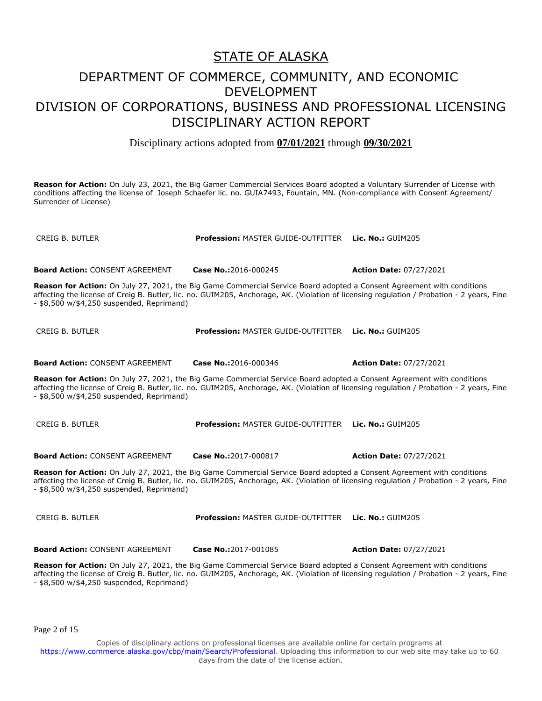#### STATE OF ALASKA

### DEPARTMENT OF COMMERCE, COMMUNITY, AND ECONOMIC DEVELOPMENT DIVISION OF CORPORATIONS, BUSINESS AND PROFESSIONAL LICENSING DISCIPLINARY ACTION REPORT

Disciplinary actions adopted from **07/01/2021** through **09/30/2021**

**Reason for Action:** On July 23, 2021, the Big Gamer Commercial Services Board adopted a Voluntary Surrender of License with conditions affecting the license of Joseph Schaefer lic. no. GUIA7493, Fountain, MN. (Non-compliance with Consent Agreement/ Surrender of License)

CREIG B. BUTLER **Profession:** MASTER GUIDE-OUTFITTER **Lic. No.:** GUIM205 **Board Action:** CONSENT AGREEMENT **Case No.:**2016-000245 **Action Date:** 07/27/2021

**Reason for Action:** On July 27, 2021, the Big Game Commercial Service Board adopted a Consent Agreement with conditions affecting the license of Creig B. Butler, lic. no. GUIM205, Anchorage, AK. (Violation of licensing regulation / Probation - 2 years, Fine - \$8,500 w/\$4,250 suspended, Reprimand)

CREIG B. BUTLER **Profession:** MASTER GUIDE-OUTFITTER **Lic. No.:** GUIM205 **Board Action:** CONSENT AGREEMENT **Case No.:**2016-000346 **Action Date:** 07/27/2021

**Reason for Action:** On July 27, 2021, the Big Game Commercial Service Board adopted a Consent Agreement with conditions affecting the license of Creig B. Butler, lic. no. GUIM205, Anchorage, AK. (Violation of licensing regulation / Probation - 2 years, Fine - \$8,500 w/\$4,250 suspended, Reprimand)

CREIG B. BUTLER **Profession:** MASTER GUIDE-OUTFITTER **Lic. No.:** GUIM205

**Board Action:** CONSENT AGREEMENT **Case No.:**2017-000817 **Action Date:** 07/27/2021

**Reason for Action:** On July 27, 2021, the Big Game Commercial Service Board adopted a Consent Agreement with conditions affecting the license of Creig B. Butler, lic. no. GUIM205, Anchorage, AK. (Violation of licensing regulation / Probation - 2 years, Fine - \$8,500 w/\$4,250 suspended, Reprimand)

CREIG B. BUTLER **Profession:** MASTER GUIDE-OUTFITTER **Lic. No.:** GUIM205

**Board Action:** CONSENT AGREEMENT **Case No.:**2017-001085 **Action Date:** 07/27/2021

**Reason for Action:** On July 27, 2021, the Big Game Commercial Service Board adopted a Consent Agreement with conditions affecting the license of Creig B. Butler, lic. no. GUIM205, Anchorage, AK. (Violation of licensing regulation / Probation - 2 years, Fine - \$8,500 w/\$4,250 suspended, Reprimand)

Page 2 of 15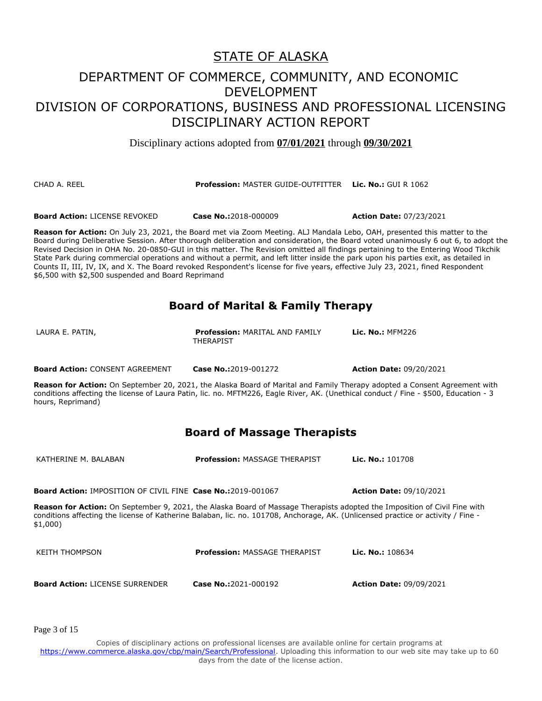Disciplinary actions adopted from **07/01/2021** through **09/30/2021**

#### CHAD A. REEL **Profession:** MASTER GUIDE-OUTFITTER **Lic. No.:** GUI R 1062

**Board Action:** LICENSE REVOKED **Case No.:**2018-000009 **Action Date:** 07/23/2021

**Reason for Action:** On July 23, 2021, the Board met via Zoom Meeting. ALJ Mandala Lebo, OAH, presented this matter to the Board during Deliberative Session. After thorough deliberation and consideration, the Board voted unanimously 6 out 6, to adopt the Revised Decision in OHA No. 20-0850-GUI in this matter. The Revision omitted all findings pertaining to the Entering Wood Tikchik State Park during commercial operations and without a permit, and left litter inside the park upon his parties exit, as detailed in Counts II, III, IV, IX, and X. The Board revoked Respondent's license for five years, effective July 23, 2021, fined Respondent \$6,500 with \$2,500 suspended and Board Reprimand

#### **Board of Marital & Family Therapy**

| LAURA E. PATIN, | <b>Profession: MARITAL AND FAMILY</b> | <b>Lic. No.: MFM226</b> |
|-----------------|---------------------------------------|-------------------------|
|                 | <b>THERAPIST</b>                      |                         |
|                 |                                       |                         |

**Board Action:** CONSENT AGREEMENT **Case No.:**2019-001272 **Action Date:** 09/20/2021

**Reason for Action:** On September 20, 2021, the Alaska Board of Marital and Family Therapy adopted a Consent Agreement with conditions affecting the license of Laura Patin, lic. no. MFTM226, Eagle River, AK. (Unethical conduct / Fine - \$500, Education - 3 hours, Reprimand)

#### **Board of Massage Therapists**

KATHERINE M. BALABAN **Profession:** MASSAGE THERAPIST **Lic. No.:** 101708

**Board Action:** IMPOSITION OF CIVIL FINE **Case No.:**2019-001067 **Action Date:** 09/10/2021

**Reason for Action:** On September 9, 2021, the Alaska Board of Massage Therapists adopted the Imposition of Civil Fine with conditions affecting the license of Katherine Balaban, lic. no. 101708, Anchorage, AK. (Unlicensed practice or activity / Fine - \$1,000)

| KEITH THOMPSON                         | <b>Profession: MASSAGE THERAPIST</b> | <b>Lic. No.:</b> $108634$      |
|----------------------------------------|--------------------------------------|--------------------------------|
| <b>Board Action: LICENSE SURRENDER</b> | Case No.:2021-000192                 | <b>Action Date: 09/09/2021</b> |

Page 3 of 15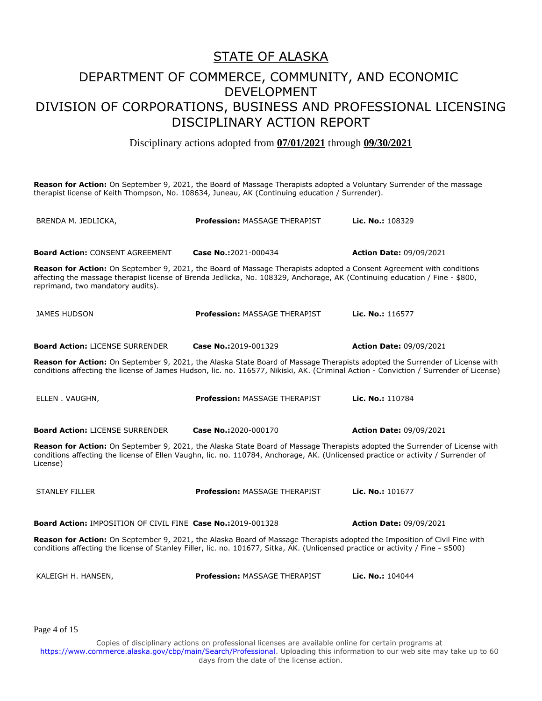#### STATE OF ALASKA

### DEPARTMENT OF COMMERCE, COMMUNITY, AND ECONOMIC DEVELOPMENT DIVISION OF CORPORATIONS, BUSINESS AND PROFESSIONAL LICENSING DISCIPLINARY ACTION REPORT

Disciplinary actions adopted from **07/01/2021** through **09/30/2021**

**Reason for Action:** On September 9, 2021, the Board of Massage Therapists adopted a Voluntary Surrender of the massage therapist license of Keith Thompson, No. 108634, Juneau, AK (Continuing education / Surrender).

| BRENDA M. JEDLICKA,                                                                                                                                                                                                                                                                      | <b>Profession: MASSAGE THERAPIST</b> | Lic. No.: 108329               |
|------------------------------------------------------------------------------------------------------------------------------------------------------------------------------------------------------------------------------------------------------------------------------------------|--------------------------------------|--------------------------------|
| <b>Board Action: CONSENT AGREEMENT</b>                                                                                                                                                                                                                                                   | Case No.:2021-000434                 | <b>Action Date: 09/09/2021</b> |
| Reason for Action: On September 9, 2021, the Board of Massage Therapists adopted a Consent Agreement with conditions<br>affecting the massage therapist license of Brenda Jedlicka, No. 108329, Anchorage, AK (Continuing education / Fine - \$800,<br>reprimand, two mandatory audits). |                                      |                                |
| JAMES HUDSON                                                                                                                                                                                                                                                                             | Profession: MASSAGE THERAPIST        | Lic. No.: 116577               |
| <b>Board Action: LICENSE SURRENDER</b>                                                                                                                                                                                                                                                   | Case No.:2019-001329                 | <b>Action Date: 09/09/2021</b> |
| Reason for Action: On September 9, 2021, the Alaska State Board of Massage Therapists adopted the Surrender of License with<br>conditions affecting the license of James Hudson, lic. no. 116577, Nikiski, AK. (Criminal Action - Conviction / Surrender of License)                     |                                      |                                |
| ELLEN . VAUGHN,                                                                                                                                                                                                                                                                          | <b>Profession: MASSAGE THERAPIST</b> | Lic. No.: 110784               |
| <b>Board Action: LICENSE SURRENDER</b>                                                                                                                                                                                                                                                   | Case No.:2020-000170                 | <b>Action Date: 09/09/2021</b> |
| Reason for Action: On September 9, 2021, the Alaska State Board of Massage Therapists adopted the Surrender of License with<br>conditions affecting the license of Ellen Vaughn, lic. no. 110784, Anchorage, AK. (Unlicensed practice or activity / Surrender of<br>License)             |                                      |                                |
| <b>STANLEY FILLER</b>                                                                                                                                                                                                                                                                    | <b>Profession: MASSAGE THERAPIST</b> | Lic. No.: 101677               |
| <b>Board Action: IMPOSITION OF CIVIL FINE Case No.:2019-001328</b>                                                                                                                                                                                                                       |                                      | <b>Action Date: 09/09/2021</b> |
| Reason for Action: On September 9, 2021, the Alaska Board of Massage Therapists adopted the Imposition of Civil Fine with<br>conditions affecting the license of Stanley Filler, lic. no. 101677, Sitka, AK. (Unlicensed practice or activity / Fine - \$500)                            |                                      |                                |
| KALEIGH H. HANSEN,                                                                                                                                                                                                                                                                       | <b>Profession: MASSAGE THERAPIST</b> | Lic. No.: 104044               |

Page 4 of 15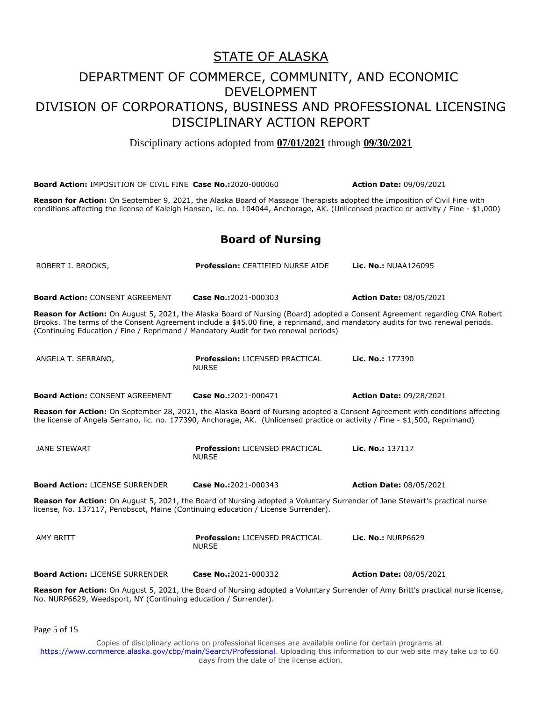Disciplinary actions adopted from **07/01/2021** through **09/30/2021**

| <b>Board Action: IMPOSITION OF CIVIL FINE Case No.: 2020-000060</b>                                                                                                                                                                                                                                                                                |                                                       | <b>Action Date: 09/09/2021</b> |  |
|----------------------------------------------------------------------------------------------------------------------------------------------------------------------------------------------------------------------------------------------------------------------------------------------------------------------------------------------------|-------------------------------------------------------|--------------------------------|--|
| Reason for Action: On September 9, 2021, the Alaska Board of Massage Therapists adopted the Imposition of Civil Fine with<br>conditions affecting the license of Kaleigh Hansen, lic. no. 104044, Anchorage, AK. (Unlicensed practice or activity / Fine - \$1,000)                                                                                |                                                       |                                |  |
|                                                                                                                                                                                                                                                                                                                                                    | <b>Board of Nursing</b>                               |                                |  |
| ROBERT J. BROOKS,                                                                                                                                                                                                                                                                                                                                  | <b>Profession: CERTIFIED NURSE AIDE</b>               | <b>Lic. No.: NUAA126095</b>    |  |
| <b>Board Action: CONSENT AGREEMENT</b>                                                                                                                                                                                                                                                                                                             | Case No.:2021-000303                                  | <b>Action Date: 08/05/2021</b> |  |
| Reason for Action: On August 5, 2021, the Alaska Board of Nursing (Board) adopted a Consent Agreement regarding CNA Robert<br>Brooks. The terms of the Consent Agreement include a \$45.00 fine, a reprimand, and mandatory audits for two renewal periods.<br>(Continuing Education / Fine / Reprimand / Mandatory Audit for two renewal periods) |                                                       |                                |  |
| ANGELA T. SERRANO,                                                                                                                                                                                                                                                                                                                                 | <b>Profession: LICENSED PRACTICAL</b><br><b>NURSE</b> | Lic. No.: 177390               |  |
| <b>Board Action: CONSENT AGREEMENT</b>                                                                                                                                                                                                                                                                                                             | Case No.:2021-000471                                  | <b>Action Date: 09/28/2021</b> |  |
| Reason for Action: On September 28, 2021, the Alaska Board of Nursing adopted a Consent Agreement with conditions affecting<br>the license of Angela Serrano, lic. no. 177390, Anchorage, AK. (Unlicensed practice or activity / Fine - \$1,500, Reprimand)                                                                                        |                                                       |                                |  |
| JANE STEWART                                                                                                                                                                                                                                                                                                                                       | <b>Profession: LICENSED PRACTICAL</b><br><b>NURSE</b> | Lic. No.: 137117               |  |
| <b>Board Action: LICENSE SURRENDER</b>                                                                                                                                                                                                                                                                                                             | Case No.:2021-000343                                  | <b>Action Date: 08/05/2021</b> |  |
| Reason for Action: On August 5, 2021, the Board of Nursing adopted a Voluntary Surrender of Jane Stewart's practical nurse<br>license, No. 137117, Penobscot, Maine (Continuing education / License Surrender).                                                                                                                                    |                                                       |                                |  |
| <b>AMY BRITT</b>                                                                                                                                                                                                                                                                                                                                   | <b>Profession: LICENSED PRACTICAL</b><br><b>NURSE</b> | <b>Lic. No.: NURP6629</b>      |  |
| <b>Board Action: LICENSE SURRENDER</b>                                                                                                                                                                                                                                                                                                             | Case No.:2021-000332                                  | <b>Action Date: 08/05/2021</b> |  |
| Reason for Action: On August 5, 2021, the Board of Nursing adopted a Voluntary Surrender of Amy Britt's practical nurse license,<br>No. NURP6629, Weedsport, NY (Continuing education / Surrender).                                                                                                                                                |                                                       |                                |  |

Page 5 of 15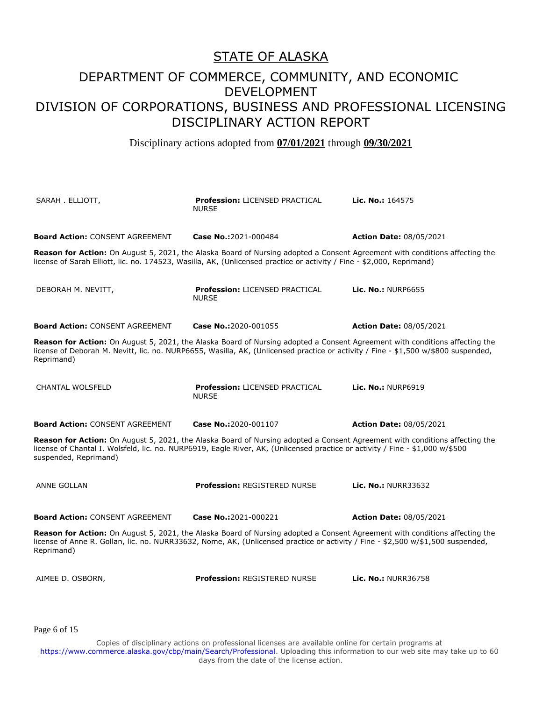Disciplinary actions adopted from **07/01/2021** through **09/30/2021**

| SARAH . ELLIOTT,                                                                                                                                                                                                                                                                      | <b>Profession: LICENSED PRACTICAL</b><br><b>NURSE</b>                                                                                                                                                                                                | <b>Lic. No.: 164575</b>        |  |
|---------------------------------------------------------------------------------------------------------------------------------------------------------------------------------------------------------------------------------------------------------------------------------------|------------------------------------------------------------------------------------------------------------------------------------------------------------------------------------------------------------------------------------------------------|--------------------------------|--|
| <b>Board Action: CONSENT AGREEMENT</b>                                                                                                                                                                                                                                                | Case No.:2021-000484                                                                                                                                                                                                                                 | <b>Action Date: 08/05/2021</b> |  |
|                                                                                                                                                                                                                                                                                       | Reason for Action: On August 5, 2021, the Alaska Board of Nursing adopted a Consent Agreement with conditions affecting the<br>license of Sarah Elliott, lic. no. 174523, Wasilla, AK, (Unlicensed practice or activity / Fine - \$2,000, Reprimand) |                                |  |
| DEBORAH M. NEVITT,                                                                                                                                                                                                                                                                    | <b>Profession: LICENSED PRACTICAL</b><br><b>NURSE</b>                                                                                                                                                                                                | <b>Lic. No.: NURP6655</b>      |  |
| <b>Board Action: CONSENT AGREEMENT</b>                                                                                                                                                                                                                                                | Case No.:2020-001055                                                                                                                                                                                                                                 | <b>Action Date: 08/05/2021</b> |  |
| Reason for Action: On August 5, 2021, the Alaska Board of Nursing adopted a Consent Agreement with conditions affecting the<br>license of Deborah M. Nevitt, lic. no. NURP6655, Wasilla, AK, (Unlicensed practice or activity / Fine - \$1,500 w/\$800 suspended,<br>Reprimand)       |                                                                                                                                                                                                                                                      |                                |  |
| <b>CHANTAL WOLSFELD</b>                                                                                                                                                                                                                                                               | <b>Profession: LICENSED PRACTICAL</b><br><b>NURSE</b>                                                                                                                                                                                                | <b>Lic. No.: NURP6919</b>      |  |
| <b>Board Action: CONSENT AGREEMENT</b>                                                                                                                                                                                                                                                | Case No.:2020-001107                                                                                                                                                                                                                                 | <b>Action Date: 08/05/2021</b> |  |
| Reason for Action: On August 5, 2021, the Alaska Board of Nursing adopted a Consent Agreement with conditions affecting the<br>license of Chantal I. Wolsfeld, lic. no. NURP6919, Eagle River, AK, (Unlicensed practice or activity / Fine - \$1,000 w/\$500<br>suspended, Reprimand) |                                                                                                                                                                                                                                                      |                                |  |
| <b>ANNE GOLLAN</b>                                                                                                                                                                                                                                                                    | <b>Profession: REGISTERED NURSE</b>                                                                                                                                                                                                                  | Lic. No.: NURR33632            |  |
| <b>Board Action: CONSENT AGREEMENT</b>                                                                                                                                                                                                                                                | Case No.:2021-000221                                                                                                                                                                                                                                 | <b>Action Date: 08/05/2021</b> |  |
| Reason for Action: On August 5, 2021, the Alaska Board of Nursing adopted a Consent Agreement with conditions affecting the<br>license of Anne R. Gollan, lic. no. NURR33632, Nome, AK, (Unlicensed practice or activity / Fine - \$2,500 w/\$1,500 suspended,<br>Reprimand)          |                                                                                                                                                                                                                                                      |                                |  |
| AIMEE D. OSBORN,                                                                                                                                                                                                                                                                      | <b>Profession: REGISTERED NURSE</b>                                                                                                                                                                                                                  | <b>Lic. No.: NURR36758</b>     |  |

Page 6 of 15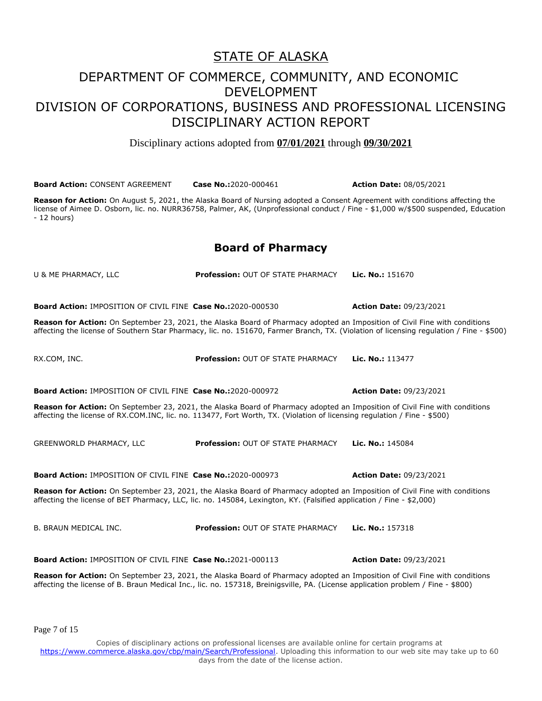Disciplinary actions adopted from **07/01/2021** through **09/30/2021**

**Board Action:** CONSENT AGREEMENT **Case No.:**2020-000461 **Action Date:** 08/05/2021 **Reason for Action:** On August 5, 2021, the Alaska Board of Nursing adopted a Consent Agreement with conditions affecting the license of Aimee D. Osborn, lic. no. NURR36758, Palmer, AK, (Unprofessional conduct / Fine - \$1,000 w/\$500 suspended, Education - 12 hours) **Board of Pharmacy** U & ME PHARMACY, LLC **Profession:** OUT OF STATE PHARMACY **Lic. No.:** 151670 **Board Action:** IMPOSITION OF CIVIL FINE **Case No.:**2020-000530 **Action Date:** 09/23/2021 **Reason for Action:** On September 23, 2021, the Alaska Board of Pharmacy adopted an Imposition of Civil Fine with conditions affecting the license of Southern Star Pharmacy, lic. no. 151670, Farmer Branch, TX. (Violation of licensing regulation / Fine - \$500) RX.COM, INC. **Profession:** OUT OF STATE PHARMACY **Lic. No.:** 113477 **Board Action:** IMPOSITION OF CIVIL FINE **Case No.:**2020-000972 **Action Date:** 09/23/2021 **Reason for Action:** On September 23, 2021, the Alaska Board of Pharmacy adopted an Imposition of Civil Fine with conditions affecting the license of RX.COM.INC, lic. no. 113477, Fort Worth, TX. (Violation of licensing regulation / Fine - \$500) GREENWORLD PHARMACY, LLC **Profession:** OUT OF STATE PHARMACY **Lic. No.:** 145084 **Board Action:** IMPOSITION OF CIVIL FINE **Case No.:**2020-000973 **Action Date:** 09/23/2021 **Reason for Action:** On September 23, 2021, the Alaska Board of Pharmacy adopted an Imposition of Civil Fine with conditions affecting the license of BET Pharmacy, LLC, lic. no. 145084, Lexington, KY. (Falsified application / Fine - \$2,000) B. BRAUN MEDICAL INC. **Profession:** OUT OF STATE PHARMACY **Lic. No.:** 157318 **Board Action:** IMPOSITION OF CIVIL FINE **Case No.:**2021-000113 **Action Date:** 09/23/2021 **Reason for Action:** On September 23, 2021, the Alaska Board of Pharmacy adopted an Imposition of Civil Fine with conditions affecting the license of B. Braun Medical Inc., lic. no. 157318, Breinigsville, PA. (License application problem / Fine - \$800)

Page 7 of 15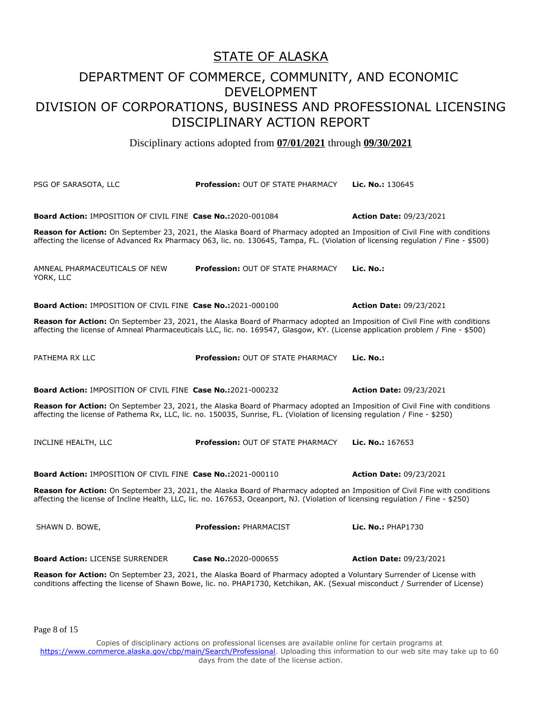Disciplinary actions adopted from **07/01/2021** through **09/30/2021**

PSG OF SARASOTA, LLC **Profession:** OUT OF STATE PHARMACY **Lic. No.:** 130645 **Board Action:** IMPOSITION OF CIVIL FINE **Case No.:**2020-001084 **Action Date:** 09/23/2021 **Reason for Action:** On September 23, 2021, the Alaska Board of Pharmacy adopted an Imposition of Civil Fine with conditions affecting the license of Advanced Rx Pharmacy 063, lic. no. 130645, Tampa, FL. (Violation of licensing regulation / Fine - \$500) AMNEAL PHARMACEUTICALS OF NEW YORK, LLC **Profession:** OUT OF STATE PHARMACY **Lic. No.: Board Action:** IMPOSITION OF CIVIL FINE **Case No.:**2021-000100 **Action Date:** 09/23/2021 **Reason for Action:** On September 23, 2021, the Alaska Board of Pharmacy adopted an Imposition of Civil Fine with conditions affecting the license of Amneal Pharmaceuticals LLC, lic. no. 169547, Glasgow, KY. (License application problem / Fine - \$500) PATHEMA RX LLC **Profession:** OUT OF STATE PHARMACY **Lic. No.: Board Action:** IMPOSITION OF CIVIL FINE **Case No.:**2021-000232 **Action Date:** 09/23/2021 **Reason for Action:** On September 23, 2021, the Alaska Board of Pharmacy adopted an Imposition of Civil Fine with conditions affecting the license of Pathema Rx, LLC, lic. no. 150035, Sunrise, FL. (Violation of licensing regulation / Fine - \$250) INCLINE HEALTH, LLC **Profession:** OUT OF STATE PHARMACY **Lic. No.:** 167653 **Board Action:** IMPOSITION OF CIVIL FINE **Case No.:**2021-000110 **Action Date:** 09/23/2021 **Reason for Action:** On September 23, 2021, the Alaska Board of Pharmacy adopted an Imposition of Civil Fine with conditions affecting the license of Incline Health, LLC, lic. no. 167653, Oceanport, NJ. (Violation of licensing regulation / Fine - \$250) SHAWN D. BOWE, **Profession:** PHARMACIST **Lic. No.:** PHAP1730 **Board Action:** LICENSE SURRENDER **Case No.:**2020-000655 **Action Date:** 09/23/2021 **Reason for Action:** On September 23, 2021, the Alaska Board of Pharmacy adopted a Voluntary Surrender of License with conditions affecting the license of Shawn Bowe, lic. no. PHAP1730, Ketchikan, AK. (Sexual misconduct / Surrender of License)

Page 8 of 15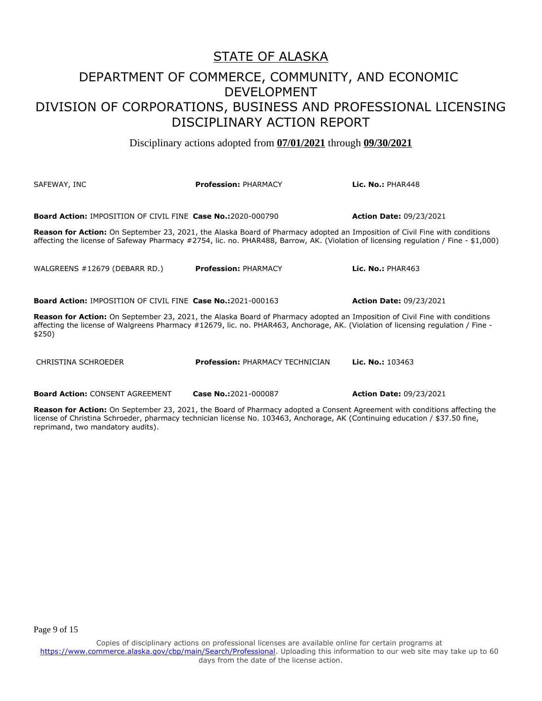Disciplinary actions adopted from **07/01/2021** through **09/30/2021**

| SAFEWAY, INC                                                                                                                                                                                                                                                                    | <b>Profession: PHARMACY</b> | Lic. No.: $PHAR448$            |  |
|---------------------------------------------------------------------------------------------------------------------------------------------------------------------------------------------------------------------------------------------------------------------------------|-----------------------------|--------------------------------|--|
| <b>Board Action: IMPOSITION OF CIVIL FINE Case No.:2020-000790</b>                                                                                                                                                                                                              |                             | <b>Action Date: 09/23/2021</b> |  |
| <b>Reason for Action:</b> On September 23, 2021, the Alaska Board of Pharmacy adopted an Imposition of Civil Fine with conditions<br>affecting the license of Safeway Pharmacy #2754, lic. no. PHAR488, Barrow, AK. (Violation of licensing regulation / Fine - \$1,000)        |                             |                                |  |
| WALGREENS #12679 (DEBARR RD.)                                                                                                                                                                                                                                                   | <b>Profession: PHARMACY</b> | Lic. No.: $PHAR463$            |  |
| <b>Board Action: IMPOSITION OF CIVIL FINE Case No.:2021-000163</b>                                                                                                                                                                                                              |                             | <b>Action Date: 09/23/2021</b> |  |
| <b>Reason for Action:</b> On September 23, 2021, the Alaska Board of Pharmacy adopted an Imposition of Civil Fine with conditions<br>affecting the license of Walgreens Pharmacy #12679, lic. no. PHAR463, Anchorage, AK. (Violation of licensing regulation / Fine -<br>\$250) |                             |                                |  |

CHRISTINA SCHROEDER **Profession:** PHARMACY TECHNICIAN **Lic. No.:** 103463

**Board Action:** CONSENT AGREEMENT **Case No.:**2021-000087 **Action Date:** 09/23/2021

**Reason for Action:** On September 23, 2021, the Board of Pharmacy adopted a Consent Agreement with conditions affecting the license of Christina Schroeder, pharmacy technician license No. 103463, Anchorage, AK (Continuing education / \$37.50 fine, reprimand, two mandatory audits).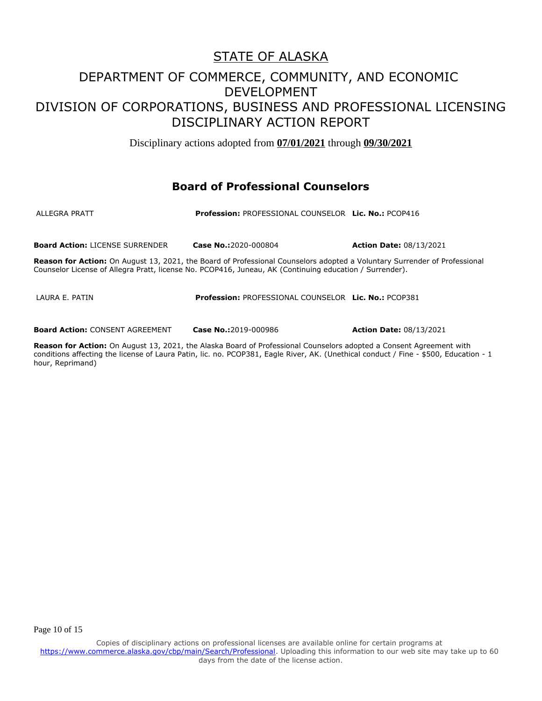Disciplinary actions adopted from **07/01/2021** through **09/30/2021**

#### **Board of Professional Counselors**

ALLEGRA PRATT **Profession:** PROFESSIONAL COUNSELOR **Lic. No.:** PCOP416

**Board Action:** LICENSE SURRENDER **Case No.:**2020-000804 **Action Date:** 08/13/2021

**Reason for Action:** On August 13, 2021, the Board of Professional Counselors adopted a Voluntary Surrender of Professional Counselor License of Allegra Pratt, license No. PCOP416, Juneau, AK (Continuing education / Surrender).

LAURA E. PATIN **Profession:** PROFESSIONAL COUNSELOR **Lic. No.:** PCOP381

**Board Action:** CONSENT AGREEMENT **Case No.:**2019-000986 **Action Date:** 08/13/2021

**Reason for Action:** On August 13, 2021, the Alaska Board of Professional Counselors adopted a Consent Agreement with conditions affecting the license of Laura Patin, lic. no. PCOP381, Eagle River, AK. (Unethical conduct / Fine - \$500, Education - 1 hour, Reprimand)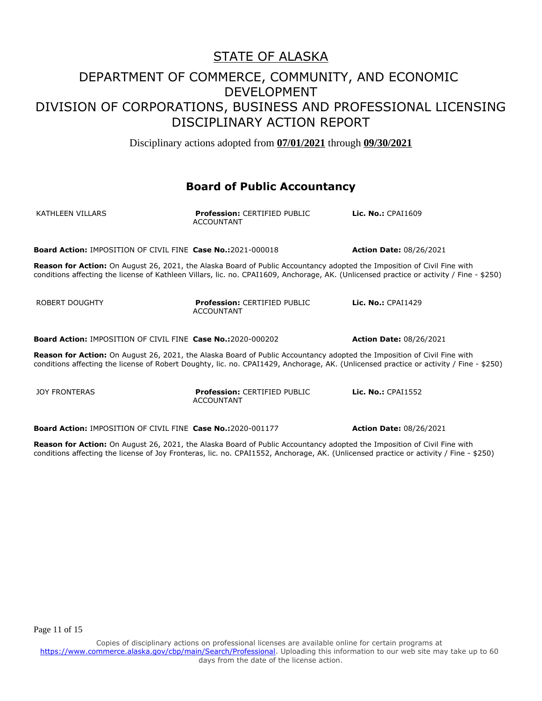Disciplinary actions adopted from **07/01/2021** through **09/30/2021**

#### **Board of Public Accountancy**

| KATHLEEN VILLARS                                                   | <b>Profession: CERTIFIED PUBLIC</b><br><b>ACCOUNTANT</b>                                                                | Lic. $No.:$ CPAI1609                                                                                                                     |
|--------------------------------------------------------------------|-------------------------------------------------------------------------------------------------------------------------|------------------------------------------------------------------------------------------------------------------------------------------|
| <b>Board Action: IMPOSITION OF CIVIL FINE Case No.:2021-000018</b> |                                                                                                                         | <b>Action Date: 08/26/2021</b>                                                                                                           |
|                                                                    | Reason for Action: On August 26, 2021, the Alaska Board of Public Accountancy adopted the Imposition of Civil Fine with | conditions affecting the license of Kathleen Villars, lic. no. CPAI1609, Anchorage, AK. (Unlicensed practice or activity / Fine - \$250) |
| ROBERT DOUGHTY                                                     | <b>Profession: CERTIFIED PUBLIC</b><br><b>ACCOUNTANT</b>                                                                | Lic. No.: CPAI1429                                                                                                                       |
| <b>Board Action: IMPOSITION OF CIVIL FINE Case No.:2020-000202</b> |                                                                                                                         | <b>Action Date: 08/26/2021</b>                                                                                                           |
|                                                                    | Reason for Action: On August 26, 2021, the Alaska Board of Public Accountancy adopted the Imposition of Civil Fine with | conditions affecting the license of Robert Doughty, lic. no. CPAI1429, Anchorage, AK. (Unlicensed practice or activity / Fine - \$250)   |
| <b>JOY FRONTERAS</b>                                               | <b>Profession: CERTIFIED PUBLIC</b><br><b>ACCOUNTANT</b>                                                                | Lic. No.: CPAI1552                                                                                                                       |

**Board Action:** IMPOSITION OF CIVIL FINE **Case No.:**2020-001177 **Action Date:** 08/26/2021

**Reason for Action:** On August 26, 2021, the Alaska Board of Public Accountancy adopted the Imposition of Civil Fine with conditions affecting the license of Joy Fronteras, lic. no. CPAI1552, Anchorage, AK. (Unlicensed practice or activity / Fine - \$250)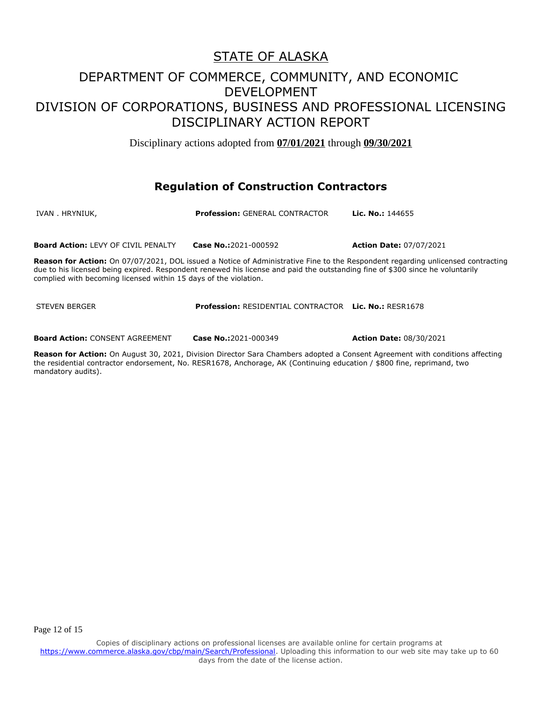Disciplinary actions adopted from **07/01/2021** through **09/30/2021**

#### **Regulation of Construction Contractors**

| IVAN . HRYNIUK,                                                  | <b>Profession: GENERAL CONTRACTOR</b>                                                                                         | <b>Lic. No.: 144655</b>                                                                                                                |
|------------------------------------------------------------------|-------------------------------------------------------------------------------------------------------------------------------|----------------------------------------------------------------------------------------------------------------------------------------|
| <b>Board Action: LEVY OF CIVIL PENALTY</b>                       | <b>Case No.:</b> 2021-000592                                                                                                  | <b>Action Date: 07/07/2021</b>                                                                                                         |
| complied with becoming licensed within 15 days of the violation. | due to his licensed being expired. Respondent renewed his license and paid the outstanding fine of \$300 since he voluntarily | <b>Reason for Action:</b> On 07/07/2021, DOL issued a Notice of Administrative Fine to the Respondent regarding unlicensed contracting |

STEVEN BERGER **Profession:** RESIDENTIAL CONTRACTOR **Lic. No.:** RESR1678

**Board Action:** CONSENT AGREEMENT **Case No.:**2021-000349 **Action Date:** 08/30/2021

**Reason for Action:** On August 30, 2021, Division Director Sara Chambers adopted a Consent Agreement with conditions affecting the residential contractor endorsement, No. RESR1678, Anchorage, AK (Continuing education / \$800 fine, reprimand, two mandatory audits).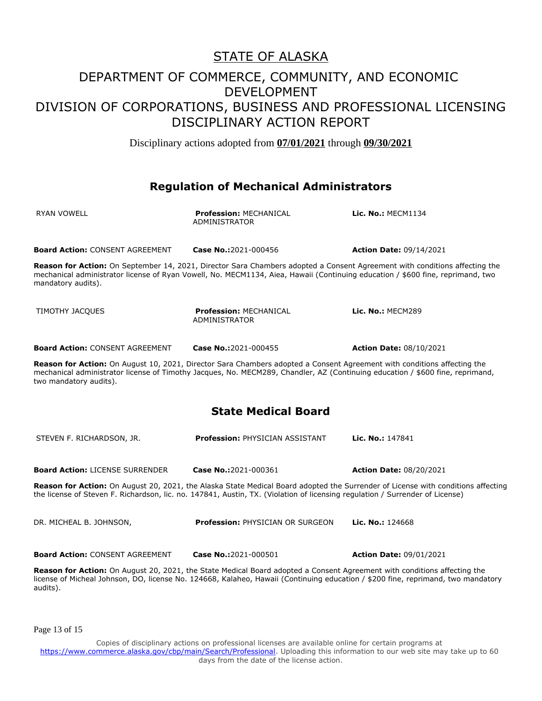Disciplinary actions adopted from **07/01/2021** through **09/30/2021**

#### **Regulation of Mechanical Administrators**

| <b>RYAN VOWELL</b>                                                                                                                                                                                                                                                                 | <b>Profession: MECHANICAL</b><br><b>ADMINISTRATOR</b>                                                                    | Lic. No.: MECM1134                                                                                                               |  |
|------------------------------------------------------------------------------------------------------------------------------------------------------------------------------------------------------------------------------------------------------------------------------------|--------------------------------------------------------------------------------------------------------------------------|----------------------------------------------------------------------------------------------------------------------------------|--|
| <b>Board Action: CONSENT AGREEMENT</b>                                                                                                                                                                                                                                             | Case No.:2021-000456                                                                                                     | <b>Action Date: 09/14/2021</b>                                                                                                   |  |
| Reason for Action: On September 14, 2021, Director Sara Chambers adopted a Consent Agreement with conditions affecting the<br>mechanical administrator license of Ryan Vowell, No. MECM1134, Aiea, Hawaii (Continuing education / \$600 fine, reprimand, two<br>mandatory audits). |                                                                                                                          |                                                                                                                                  |  |
| TIMOTHY JACQUES                                                                                                                                                                                                                                                                    | <b>Profession: MECHANICAL</b><br>ADMINISTRATOR                                                                           | Lic. No.: MECM289                                                                                                                |  |
| <b>Board Action: CONSENT AGREEMENT</b>                                                                                                                                                                                                                                             | Case No.:2021-000455                                                                                                     | <b>Action Date: 08/10/2021</b>                                                                                                   |  |
| two mandatory audits).                                                                                                                                                                                                                                                             | Reason for Action: On August 10, 2021, Director Sara Chambers adopted a Consent Agreement with conditions affecting the  | mechanical administrator license of Timothy Jacques, No. MECM289, Chandler, AZ (Continuing education / \$600 fine, reprimand,    |  |
| <b>State Medical Board</b>                                                                                                                                                                                                                                                         |                                                                                                                          |                                                                                                                                  |  |
| STEVEN F. RICHARDSON, JR.                                                                                                                                                                                                                                                          | <b>Profession: PHYSICIAN ASSISTANT</b>                                                                                   | Lic. No.: 147841                                                                                                                 |  |
| <b>Board Action: LICENSE SURRENDER</b>                                                                                                                                                                                                                                             | Case No.:2021-000361                                                                                                     | <b>Action Date: 08/20/2021</b>                                                                                                   |  |
| Reason for Action: On August 20, 2021, the Alaska State Medical Board adopted the Surrender of License with conditions affecting<br>the license of Steven F. Richardson, lic. no. 147841, Austin, TX. (Violation of licensing regulation / Surrender of License)                   |                                                                                                                          |                                                                                                                                  |  |
| DR. MICHEAL B. JOHNSON,                                                                                                                                                                                                                                                            | <b>Profession: PHYSICIAN OR SURGEON</b>                                                                                  | Lic. No.: 124668                                                                                                                 |  |
| <b>Board Action: CONSENT AGREEMENT</b>                                                                                                                                                                                                                                             | Case No.:2021-000501                                                                                                     | <b>Action Date: 09/01/2021</b>                                                                                                   |  |
|                                                                                                                                                                                                                                                                                    | Reason for Action: On August 20, 2021, the State Medical Board adopted a Consent Agreement with conditions affecting the | license of Micheal Johnson, DO, license No. 124668, Kalaheo, Hawaii (Continuing education / \$200 fine, reprimand, two mandatory |  |

Page 13 of 15

audits).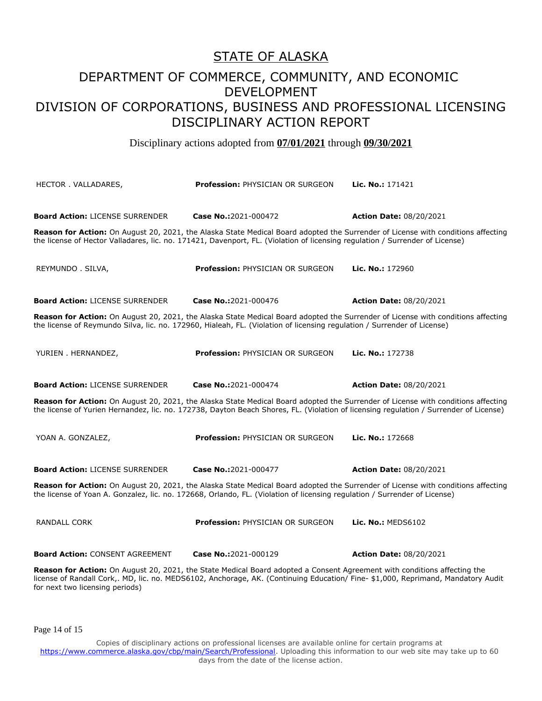Disciplinary actions adopted from **07/01/2021** through **09/30/2021**

| HECTOR. VALLADARES,                                                                                                                                                                                                                                                                            | <b>Profession: PHYSICIAN OR SURGEON</b> | Lic. No.: 171421                                                                                                                 |  |
|------------------------------------------------------------------------------------------------------------------------------------------------------------------------------------------------------------------------------------------------------------------------------------------------|-----------------------------------------|----------------------------------------------------------------------------------------------------------------------------------|--|
| <b>Board Action: LICENSE SURRENDER</b>                                                                                                                                                                                                                                                         | Case No.:2021-000472                    | <b>Action Date: 08/20/2021</b>                                                                                                   |  |
|                                                                                                                                                                                                                                                                                                |                                         |                                                                                                                                  |  |
| the license of Hector Valladares, lic. no. 171421, Davenport, FL. (Violation of licensing regulation / Surrender of License)                                                                                                                                                                   |                                         | Reason for Action: On August 20, 2021, the Alaska State Medical Board adopted the Surrender of License with conditions affecting |  |
| REYMUNDO . SILVA,                                                                                                                                                                                                                                                                              | <b>Profession: PHYSICIAN OR SURGEON</b> | Lic. No.: 172960                                                                                                                 |  |
| <b>Board Action: LICENSE SURRENDER</b>                                                                                                                                                                                                                                                         | Case No.:2021-000476                    | <b>Action Date: 08/20/2021</b>                                                                                                   |  |
| Reason for Action: On August 20, 2021, the Alaska State Medical Board adopted the Surrender of License with conditions affecting<br>the license of Reymundo Silva, lic. no. 172960, Hialeah, FL. (Violation of licensing regulation / Surrender of License)                                    |                                         |                                                                                                                                  |  |
| YURIEN . HERNANDEZ,                                                                                                                                                                                                                                                                            | <b>Profession: PHYSICIAN OR SURGEON</b> | Lic. No.: 172738                                                                                                                 |  |
| <b>Board Action: LICENSE SURRENDER</b>                                                                                                                                                                                                                                                         | Case No.:2021-000474                    | <b>Action Date: 08/20/2021</b>                                                                                                   |  |
| Reason for Action: On August 20, 2021, the Alaska State Medical Board adopted the Surrender of License with conditions affecting<br>the license of Yurien Hernandez, lic. no. 172738, Dayton Beach Shores, FL. (Violation of licensing regulation / Surrender of License)                      |                                         |                                                                                                                                  |  |
| YOAN A. GONZALEZ,                                                                                                                                                                                                                                                                              | <b>Profession: PHYSICIAN OR SURGEON</b> | Lic. No.: 172668                                                                                                                 |  |
| <b>Board Action: LICENSE SURRENDER</b>                                                                                                                                                                                                                                                         | Case No.:2021-000477                    | <b>Action Date: 08/20/2021</b>                                                                                                   |  |
| Reason for Action: On August 20, 2021, the Alaska State Medical Board adopted the Surrender of License with conditions affecting<br>the license of Yoan A. Gonzalez, lic. no. 172668, Orlando, FL. (Violation of licensing regulation / Surrender of License)                                  |                                         |                                                                                                                                  |  |
| <b>RANDALL CORK</b>                                                                                                                                                                                                                                                                            | <b>Profession: PHYSICIAN OR SURGEON</b> | Lic. No.: MEDS6102                                                                                                               |  |
| <b>Board Action: CONSENT AGREEMENT</b>                                                                                                                                                                                                                                                         | Case No.:2021-000129                    | <b>Action Date: 08/20/2021</b>                                                                                                   |  |
| Reason for Action: On August 20, 2021, the State Medical Board adopted a Consent Agreement with conditions affecting the<br>license of Randall Cork,. MD, lic. no. MEDS6102, Anchorage, AK. (Continuing Education/Fine- \$1,000, Reprimand, Mandatory Audit<br>for next two licensing periods) |                                         |                                                                                                                                  |  |

Page 14 of 15